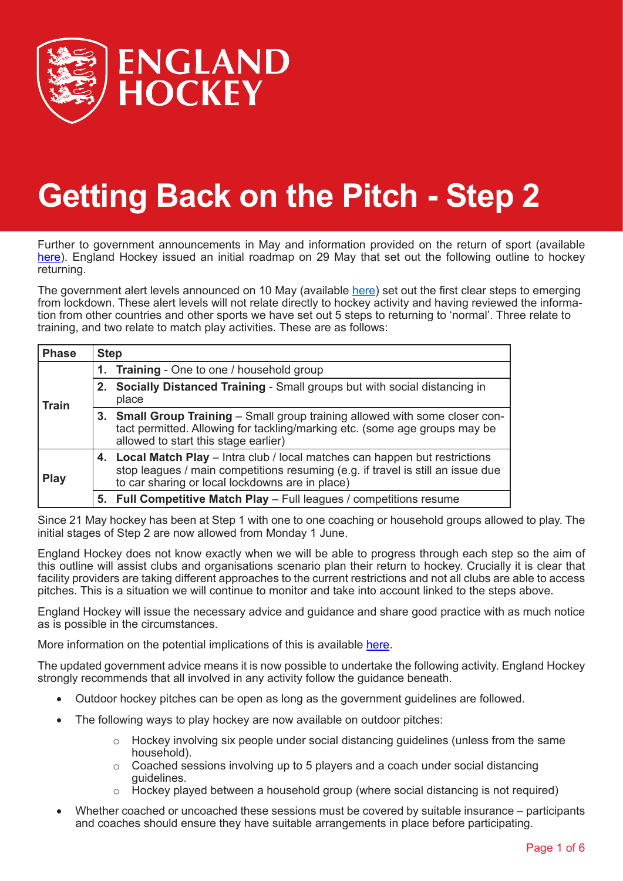

# **Getting Back on the Pitch - Step 2**

Further to government announcements in May and information provided on the return of sport (available [here](https://www.gov.uk/government/publications/coronavirus-covid-19-guidance-on-phased-return-of-sport-and-recreation)). England Hockey issued an initial roadmap on 29 May that set out the following outline to hockey returning.

The government alert levels announced on 10 May (available [here](https://assets.publishing.service.gov.uk/government/uploads/system/uploads/attachment_data/file/884352/slides_-_11_05_2020.pdf)) set out the first clear steps to emerging from lockdown. These alert levels will not relate directly to hockey activity and having reviewed the information from other countries and other sports we have set out 5 steps to returning to 'normal'. Three relate to training, and two relate to match play activities. These are as follows:

| <b>Phase</b> | <b>Step</b> |                                                                                                                                                                                                                    |
|--------------|-------------|--------------------------------------------------------------------------------------------------------------------------------------------------------------------------------------------------------------------|
| <b>Train</b> |             | 1. Training - One to one / household group                                                                                                                                                                         |
|              | 2.          | Socially Distanced Training - Small groups but with social distancing in<br>place                                                                                                                                  |
|              |             | 3. Small Group Training – Small group training allowed with some closer con-<br>tact permitted. Allowing for tackling/marking etc. (some age groups may be<br>allowed to start this stage earlier)                 |
| <b>Play</b>  |             | 4. Local Match Play - Intra club / local matches can happen but restrictions<br>stop leagues / main competitions resuming (e.g. if travel is still an issue due<br>to car sharing or local lockdowns are in place) |
|              |             | 5. Full Competitive Match Play - Full leagues / competitions resume                                                                                                                                                |

Since 21 May hockey has been at Step 1 with one to one coaching or household groups allowed to play. The initial stages of Step 2 are now allowed from Monday 1 June.

England Hockey does not know exactly when we will be able to progress through each step so the aim of this outline will assist clubs and organisations scenario plan their return to hockey. Crucially it is clear that facility providers are taking different approaches to the current restrictions and not all clubs are able to access pitches. This is a situation we will continue to monitor and take into account linked to the steps above.

England Hockey will issue the necessary advice and guidance and share good practice with as much notice as is possible in the circumstances.

More information on the potential implications of this is available [here](http://www.englandhockey.co.uk/news.asp?itemid=49274&itemTitle=Latest+news+on+returning+to+play§ion=22).

The updated government advice means it is now possible to undertake the following activity. England Hockey strongly recommends that all involved in any activity follow the guidance beneath.

- Outdoor hockey pitches can be open as long as the government guidelines are followed.
- The following ways to play hockey are now available on outdoor pitches:
	- $\circ$  Hockey involving six people under social distancing quidelines (unless from the same household).
	- $\circ$  Coached sessions involving up to 5 players and a coach under social distancing guidelines.
	- $\circ$  Hockey played between a household group (where social distancing is not required)
- Whether coached or uncoached these sessions must be covered by suitable insurance participants and coaches should ensure they have suitable arrangements in place before participating.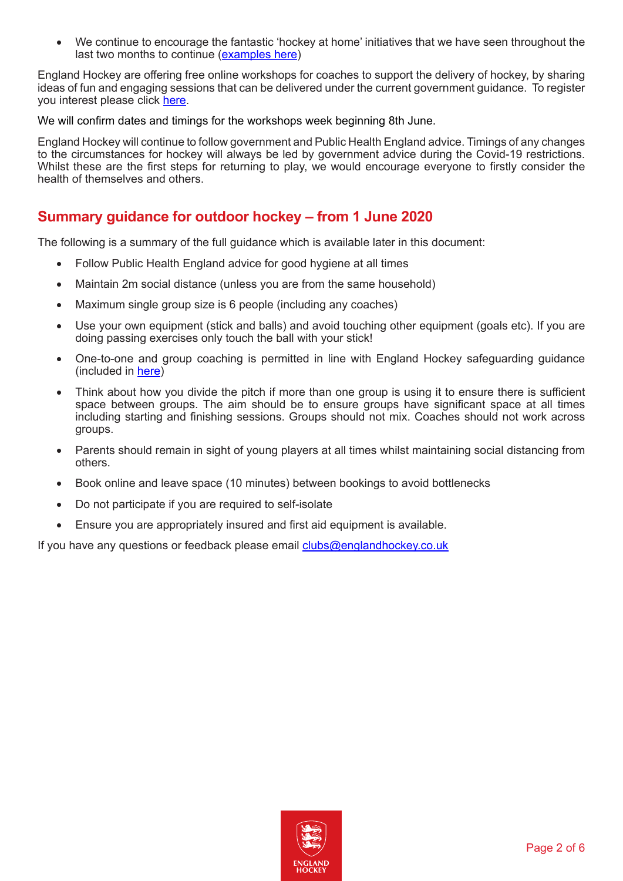We continue to encourage the fantastic 'hockey at home' initiatives that we have seen throughout the last two months to continue [\(examples here](http://www.englandhockey.co.uk/page.asp?section=2614§ionTitle=Let%27s+Stick+Together))

England Hockey are offering free online workshops for coaches to support the delivery of hockey, by sharing ideas of fun and engaging sessions that can be delivered under the current government guidance. To register you interest please click [here.](https://forms.office.com/Pages/DesignPage.aspx?fragment=FormId%3DNvkYmuiQxU--asEa8eSc6r55cVX3wDRCp8ohmjPZ-6RUQlJBVUJQTlJWSEM5RThTMk9KTTg3QUhRVC4u%26Token%3D0d91afd781fe44f290357d58107d699c)

We will confirm dates and timings for the workshops week beginning 8th June.

England Hockey will continue to follow government and Public Health England advice. Timings of any changes to the circumstances for hockey will always be led by government advice during the Covid-19 restrictions. Whilst these are the first steps for returning to play, we would encourage everyone to firstly consider the health of themselves and others.

# **Summary guidance for outdoor hockey – from 1 June 2020**

The following is a summary of the full guidance which is available later in this document:

- Follow Public Health England advice for good hygiene at all times
- Maintain 2m social distance (unless you are from the same household)
- Maximum single group size is 6 people (including any coaches)
- Use your own equipment (stick and balls) and avoid touching other equipment (goals etc). If you are doing passing exercises only touch the ball with your stick!
- One-to-one and group coaching is permitted in line with England Hockey safeguarding guidance (included in [here](http://www.englandhockey.co.uk/core/core_picker/download.asp?id=12264))
- Think about how you divide the pitch if more than one group is using it to ensure there is sufficient space between groups. The aim should be to ensure groups have significant space at all times including starting and finishing sessions. Groups should not mix. Coaches should not work across groups.
- Parents should remain in sight of young players at all times whilst maintaining social distancing from others.
- Book online and leave space (10 minutes) between bookings to avoid bottlenecks
- Do not participate if you are required to self-isolate
- Ensure you are appropriately insured and first aid equipment is available.

If you have any questions or feedback please email [clubs@englandhockey.co.uk](mailto:clubs@englandhockey.co.uk)

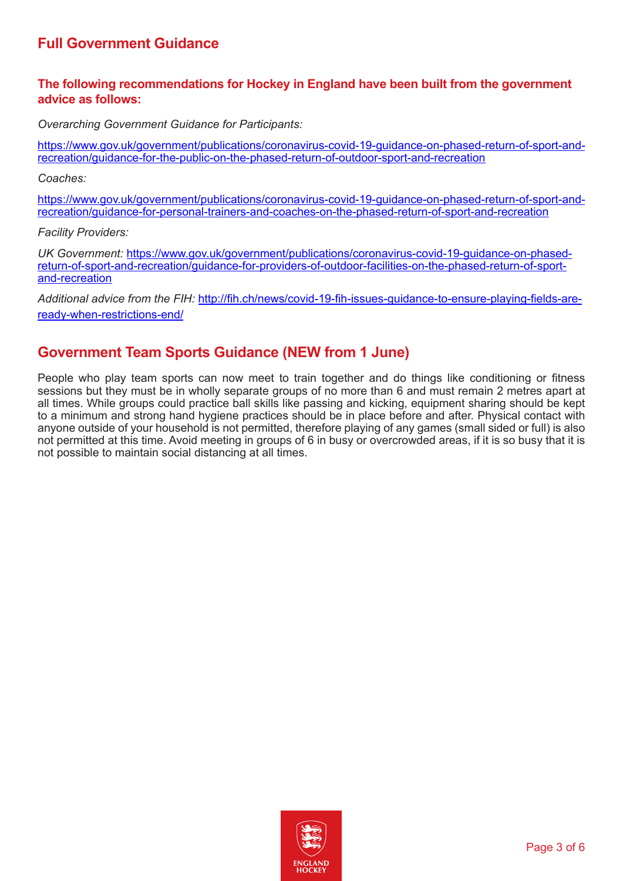# **Full Government Guidance**

#### **The following recommendations for Hockey in England have been built from the government advice as follows:**

*Overarching Government Guidance for Participants:*

[https://www.gov.uk/government/publications/coronavirus-covid-19-guidance-on-phased-return-of-sport-and](https://www.gov.uk/government/publications/coronavirus-covid-19-guidance-on-phased-return-of-sport-and-recreation/guidance-for-the-public-on-the-phased-return-of-outdoor-sport-and-recreation)[recreation/guidance-for-the-public-on-the-phased-return-of-outdoor-sport-and-recreation](https://www.gov.uk/government/publications/coronavirus-covid-19-guidance-on-phased-return-of-sport-and-recreation/guidance-for-the-public-on-the-phased-return-of-outdoor-sport-and-recreation)

*Coaches:*

[https://www.gov.uk/government/publications/coronavirus-covid-19-guidance-on-phased-return-of-sport-and](https://www.gov.uk/government/publications/coronavirus-covid-19-guidance-on-phased-return-of-sport-and-recreation/guidance-for-personal-trainers-and-coaches-on-the-phased-return-of-sport-and-recreation)[recreation/guidance-for-personal-trainers-and-coaches-on-the-phased-return-of-sport-and-recreation](https://www.gov.uk/government/publications/coronavirus-covid-19-guidance-on-phased-return-of-sport-and-recreation/guidance-for-personal-trainers-and-coaches-on-the-phased-return-of-sport-and-recreation)

*Facility Providers:*

*UK Government:* [https://www.gov.uk/government/publications/coronavirus-covid-19-guidance-on-phased](https://www.gov.uk/government/publications/coronavirus-covid-19-guidance-on-phased-return-of-sport-and-recreation/guidance-for-providers-of-outdoor-facilities-on-the-phased-return-of-sport-and-recreation)[return-of-sport-and-recreation/guidance-for-providers-of-outdoor-facilities-on-the-phased-return-of-sport](https://www.gov.uk/government/publications/coronavirus-covid-19-guidance-on-phased-return-of-sport-and-recreation/guidance-for-providers-of-outdoor-facilities-on-the-phased-return-of-sport-and-recreation)[and-recreation](https://www.gov.uk/government/publications/coronavirus-covid-19-guidance-on-phased-return-of-sport-and-recreation/guidance-for-providers-of-outdoor-facilities-on-the-phased-return-of-sport-and-recreation)

*Additional advice from the FIH:* [http://fih.ch/news/covid-19-fih-issues-guidance-to-ensure-playing-fields-are](http://fih.ch/news/covid-19-fih-issues-guidance-to-ensure-playing-fields-are-ready-when-restrictions-end/)[ready-when-restrictions-end/](http://fih.ch/news/covid-19-fih-issues-guidance-to-ensure-playing-fields-are-ready-when-restrictions-end/)

# **Government Team Sports Guidance (NEW from 1 June)**

People who play team sports can now meet to train together and do things like conditioning or fitness sessions but they must be in wholly separate groups of no more than 6 and must remain 2 metres apart at all times. While groups could practice ball skills like passing and kicking, equipment sharing should be kept to a minimum and strong hand hygiene practices should be in place before and after. Physical contact with anyone outside of your household is not permitted, therefore playing of any games (small sided or full) is also not permitted at this time. Avoid meeting in groups of 6 in busy or overcrowded areas, if it is so busy that it is not possible to maintain social distancing at all times.

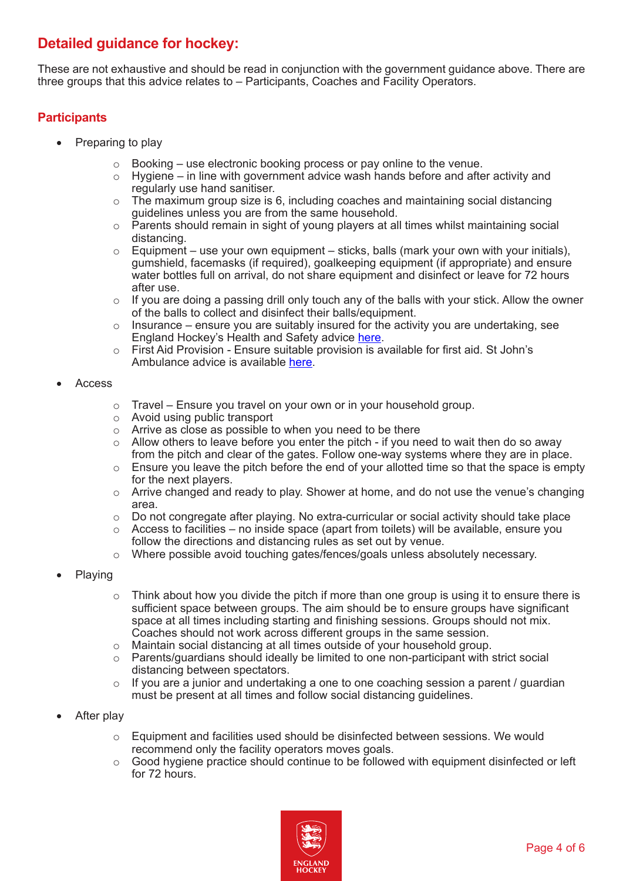# **Detailed guidance for hockey:**

These are not exhaustive and should be read in conjunction with the government guidance above. There are three groups that this advice relates to – Participants, Coaches and Facility Operators.

## **Participants**

- Preparing to play
	- $\circ$  Booking use electronic booking process or pay online to the venue.<br> $\circ$  Hygiene in line with government advice wash hands before and after
	- Hygiene in line with government advice wash hands before and after activity and regularly use hand sanitiser.
	- $\circ$  The maximum group size is 6, including coaches and maintaining social distancing guidelines unless you are from the same household.
	- $\circ$  Parents should remain in sight of young players at all times whilst maintaining social distancing.
	- $\circ$  Equipment use your own equipment sticks, balls (mark your own with your initials), gumshield, facemasks (if required), goalkeeping equipment (if appropriate) and ensure water bottles full on arrival, do not share equipment and disinfect or leave for 72 hours after use.
	- o If you are doing a passing drill only touch any of the balls with your stick. Allow the owner of the balls to collect and disinfect their balls/equipment.
	- $\circ$  Insurance ensure you are suitably insured for the activity you are undertaking, see England Hockey's Health and Safety advice [here](http://www.englandhockey.co.uk/core/core_picker/download.asp?id=20324).
	- $\circ$  First Aid Provision Ensure suitable provision is available for first aid. St John's Ambulance advice is available [here](https://www.sja.org.uk/get-advice/first-aid-advice/covid-19-advice-for-first-aiders/).

#### **Access**

- $\circ$  Travel Ensure you travel on your own or in your household group.
- o Avoid using public transport
- $\circ$  Arrive as close as possible to when you need to be there
- o Allow others to leave before you enter the pitch if you need to wait then do so away from the pitch and clear of the gates. Follow one-way systems where they are in place.
- $\circ$  Ensure you leave the pitch before the end of your allotted time so that the space is empty for the next players.
- $\circ$  Arrive changed and ready to play. Shower at home, and do not use the venue's changing area.
- $\circ$  Do not congregate after playing. No extra-curricular or social activity should take place
- $\circ$  Access to facilities no inside space (apart from toilets) will be available, ensure you follow the directions and distancing rules as set out by venue.
- o Where possible avoid touching gates/fences/goals unless absolutely necessary.
- **Playing** 
	- Think about how you divide the pitch if more than one group is using it to ensure there is sufficient space between groups. The aim should be to ensure groups have significant space at all times including starting and finishing sessions. Groups should not mix. Coaches should not work across different groups in the same session.
	- $\circ$  Maintain social distancing at all times outside of your household group.<br> $\circ$  Parents/quardians should ideally be limited to one non-participant with s
	- Parents/guardians should ideally be limited to one non-participant with strict social distancing between spectators.
	- o If you are a junior and undertaking a one to one coaching session a parent / guardian must be present at all times and follow social distancing guidelines.
- After play
	- $\circ$  Equipment and facilities used should be disinfected between sessions. We would recommend only the facility operators moves goals.
	- $\circ$  Good hygiene practice should continue to be followed with equipment disinfected or left for 72 hours.

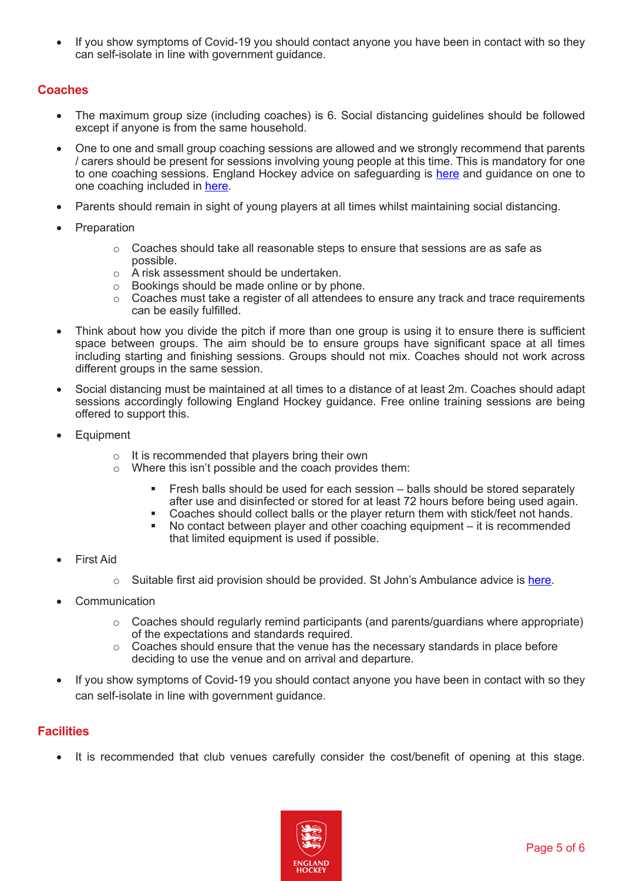If you show symptoms of Covid-19 you should contact anyone you have been in contact with so they can self-isolate in line with government guidance.

### **Coaches**

- The maximum group size (including coaches) is 6. Social distancing guidelines should be followed except if anyone is from the same household.
- One to one and small group coaching sessions are allowed and we strongly recommend that parents / carers should be present for sessions involving young people at this time. This is mandatory for one to one coaching sessions. England Hockey advice on safeguarding is [here](http://www.englandhockey.co.uk/page.asp?section=1168§ionTitle=Safeguarding+%26+Protecting+Young+People) and guidance on one to one coaching included in [here](http://www.englandhockey.co.uk/core/core_picker/download.asp?id=12264).
- Parents should remain in sight of young players at all times whilst maintaining social distancing.
- **Preparation** 
	- $\circ$  Coaches should take all reasonable steps to ensure that sessions are as safe as possible.
	- o A risk assessment should be undertaken.
	- o Bookings should be made online or by phone.
	- o Coaches must take a register of all attendees to ensure any track and trace requirements can be easily fulfilled.
- Think about how you divide the pitch if more than one group is using it to ensure there is sufficient space between groups. The aim should be to ensure groups have significant space at all times including starting and finishing sessions. Groups should not mix. Coaches should not work across different groups in the same session.
- Social distancing must be maintained at all times to a distance of at least 2m. Coaches should adapt sessions accordingly following England Hockey guidance. Free online training sessions are being offered to support this.
- **Equipment** 
	- $\circ$  It is recommended that players bring their own
	- o Where this isn't possible and the coach provides them:
		- Fresh balls should be used for each session balls should be stored separately after use and disinfected or stored for at least 72 hours before being used again.
		- Coaches should collect balls or the player return them with stick/feet not hands.
		- No contact between player and other coaching equipment it is recommended that limited equipment is used if possible.
- **First Aid** 
	- $\circ$  Suitable first aid provision should be provided. St John's Ambulance advice is [here.](https://www.sja.org.uk/get-advice/first-aid-advice/covid-19-advice-for-first-aiders/)
- **Communication** 
	- o Coaches should regularly remind participants (and parents/guardians where appropriate) of the expectations and standards required.
	- o Coaches should ensure that the venue has the necessary standards in place before deciding to use the venue and on arrival and departure.
- If you show symptoms of Covid-19 you should contact anyone you have been in contact with so they can self-isolate in line with government guidance.

## **Facilities**

It is recommended that club venues carefully consider the cost/benefit of opening at this stage.